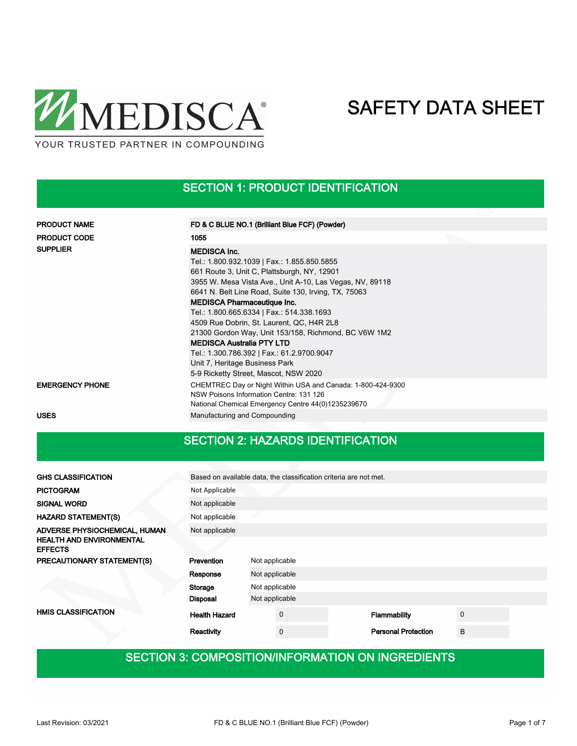

SECTION 1: PRODUCT IDENTIFICATION

| <b>PRODUCT NAME</b>    | FD & C BLUE NO.1 (Brilliant Blue FCF) (Powder)                                                                                                               |  |
|------------------------|--------------------------------------------------------------------------------------------------------------------------------------------------------------|--|
| <b>PRODUCT CODE</b>    | 1055                                                                                                                                                         |  |
| <b>SUPPLIER</b>        | <b>MEDISCA Inc.</b>                                                                                                                                          |  |
|                        | Tel.: 1.800.932.1039   Fax.: 1.855.850.5855                                                                                                                  |  |
|                        | 661 Route 3, Unit C, Plattsburgh, NY, 12901                                                                                                                  |  |
|                        | 3955 W. Mesa Vista Ave., Unit A-10, Las Vegas, NV, 89118                                                                                                     |  |
|                        | 6641 N. Belt Line Road, Suite 130, Irving, TX, 75063                                                                                                         |  |
|                        | <b>MEDISCA Pharmaceutique Inc.</b>                                                                                                                           |  |
|                        | Tel.: 1.800.665.6334   Fax.: 514.338.1693                                                                                                                    |  |
|                        | 4509 Rue Dobrin, St. Laurent, QC, H4R 2L8                                                                                                                    |  |
|                        | 21300 Gordon Way, Unit 153/158, Richmond, BC V6W 1M2                                                                                                         |  |
|                        | <b>MEDISCA Australia PTY LTD</b>                                                                                                                             |  |
|                        | Tel.: 1.300.786.392   Fax.: 61.2.9700.9047                                                                                                                   |  |
|                        | Unit 7, Heritage Business Park                                                                                                                               |  |
|                        | 5-9 Ricketty Street, Mascot, NSW 2020                                                                                                                        |  |
| <b>EMERGENCY PHONE</b> | CHEMTREC Day or Night Within USA and Canada: 1-800-424-9300<br>NSW Poisons Information Centre: 131 126<br>National Chemical Emergency Centre 44(0)1235239670 |  |
| <b>USES</b>            | Manufacturing and Compounding                                                                                                                                |  |

### SECTION 2: HAZARDS IDENTIFICATION

| <b>GHS CLASSIFICATION</b>                         | Based on available data, the classification criteria are not met. |                |                |  |                            |             |  |
|---------------------------------------------------|-------------------------------------------------------------------|----------------|----------------|--|----------------------------|-------------|--|
| <b>PICTOGRAM</b>                                  | Not Applicable                                                    |                |                |  |                            |             |  |
| <b>SIGNAL WORD</b>                                | Not applicable                                                    |                |                |  |                            |             |  |
| <b>HAZARD STATEMENT(S)</b>                        | Not applicable                                                    |                |                |  |                            |             |  |
| ADVERSE PHYSIOCHEMICAL, HUMAN                     | Not applicable                                                    |                |                |  |                            |             |  |
| <b>HEALTH AND ENVIRONMENTAL</b><br><b>EFFECTS</b> |                                                                   |                |                |  |                            |             |  |
| PRECAUTIONARY STATEMENT(S)                        | Prevention<br>Not applicable                                      |                |                |  |                            |             |  |
|                                                   | Response                                                          |                | Not applicable |  |                            |             |  |
|                                                   | Storage                                                           | Not applicable |                |  |                            |             |  |
|                                                   | <b>Disposal</b>                                                   | Not applicable |                |  |                            |             |  |
| <b>HMIS CLASSIFICATION</b>                        | <b>Health Hazard</b>                                              |                | $\mathbf 0$    |  | Flammability               | $\mathbf 0$ |  |
|                                                   | Reactivity                                                        |                | $\mathbf 0$    |  | <b>Personal Protection</b> | B           |  |

### SECTION 3: COMPOSITION/INFORMATION ON INGREDIENTS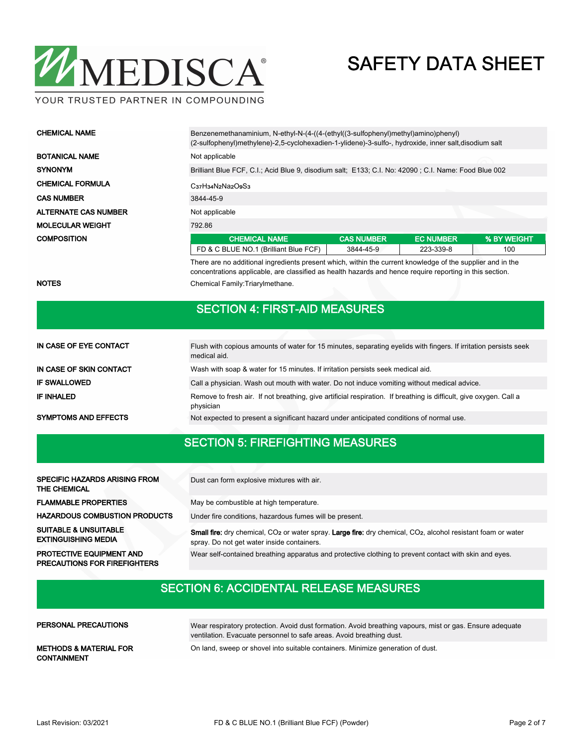

YOUR TRUSTED PARTNER IN COMPOUNDING

| <b>CHEMICAL NAME</b>        | Benzenemethanaminium, N-ethyl-N-(4-((4-(ethyl((3-sulfophenyl)methyl)amino)phenyl)<br>(2-sulfophenyl)methylene)-2,5-cyclohexadien-1-ylidene)-3-sulfo-, hydroxide, inner salt,disodium salt |                                                                                                      |                  |             |  |  |  |  |
|-----------------------------|-------------------------------------------------------------------------------------------------------------------------------------------------------------------------------------------|------------------------------------------------------------------------------------------------------|------------------|-------------|--|--|--|--|
| <b>BOTANICAL NAME</b>       | Not applicable                                                                                                                                                                            |                                                                                                      |                  |             |  |  |  |  |
| <b>SYNONYM</b>              |                                                                                                                                                                                           | Brilliant Blue FCF, C.I.; Acid Blue 9, disodium salt; E133; C.I. No: 42090; C.I. Name: Food Blue 002 |                  |             |  |  |  |  |
| <b>CHEMICAL FORMULA</b>     | C <sub>37</sub> H <sub>34</sub> N <sub>2</sub> Na <sub>2</sub> O <sub>9</sub> S <sub>3</sub>                                                                                              |                                                                                                      |                  |             |  |  |  |  |
| <b>CAS NUMBER</b>           | 3844-45-9                                                                                                                                                                                 |                                                                                                      |                  |             |  |  |  |  |
| <b>ALTERNATE CAS NUMBER</b> | Not applicable                                                                                                                                                                            |                                                                                                      |                  |             |  |  |  |  |
| <b>MOLECULAR WEIGHT</b>     | 792.86                                                                                                                                                                                    |                                                                                                      |                  |             |  |  |  |  |
| <b>COMPOSITION</b>          | <b>CHEMICAL NAME</b>                                                                                                                                                                      | <b>CAS NUMBER</b>                                                                                    | <b>EC NUMBER</b> | % BY WEIGHT |  |  |  |  |
|                             | FD & C BLUE NO.1 (Brilliant Blue FCF)                                                                                                                                                     | 3844-45-9                                                                                            | 223-339-8        | 100         |  |  |  |  |

There are no additional ingredients present which, within the current knowledge of the supplier and in the concentrations applicable, are classified as health hazards and hence require reporting in this section.

#### NOTES **NOTES** Chemical Family: Triarylmethane.

### SECTION 4: FIRST-AID MEASURES

| IN CASE OF EYE CONTACT      | Flush with copious amounts of water for 15 minutes, separating eyelids with fingers. If irritation persists seek<br>medical aid. |
|-----------------------------|----------------------------------------------------------------------------------------------------------------------------------|
| IN CASE OF SKIN CONTACT     | Wash with soap & water for 15 minutes. If irritation persists seek medical aid.                                                  |
| <b>IF SWALLOWED</b>         | Call a physician. Wash out mouth with water. Do not induce vomiting without medical advice.                                      |
| <b>IF INHALED</b>           | Remove to fresh air. If not breathing, give artificial respiration. If breathing is difficult, give oxygen. Call a<br>physician  |
| <b>SYMPTOMS AND EFFECTS</b> | Not expected to present a significant hazard under anticipated conditions of normal use.                                         |

#### SECTION 5: FIREFIGHTING MEASURES

| <b>SPECIFIC HAZARDS ARISING FROM</b><br>THE CHEMICAL                   | Dust can form explosive mixtures with air.                                                                                                                                                 |
|------------------------------------------------------------------------|--------------------------------------------------------------------------------------------------------------------------------------------------------------------------------------------|
| <b>FLAMMABLE PROPERTIES</b>                                            | May be combustible at high temperature.                                                                                                                                                    |
| <b>HAZARDOUS COMBUSTION PRODUCTS</b>                                   | Under fire conditions, hazardous fumes will be present.                                                                                                                                    |
| <b>SUITABLE &amp; UNSUITABLE</b><br><b>EXTINGUISHING MEDIA</b>         | <b>Small fire:</b> dry chemical, CO <sub>2</sub> or water spray. Large fire: dry chemical, CO <sub>2</sub> , alcohol resistant foam or water<br>spray. Do not get water inside containers. |
| <b>PROTECTIVE EQUIPMENT AND</b><br><b>PRECAUTIONS FOR FIREFIGHTERS</b> | Wear self-contained breathing apparatus and protective clothing to prevent contact with skin and eyes.                                                                                     |

## SECTION 6: ACCIDENTAL RELEASE MEASURES

| PERSONAL PRECAUTIONS                                    | Wear respiratory protection. Avoid dust formation. Avoid breathing vapours, mist or gas. Ensure adequate<br>ventilation. Evacuate personnel to safe areas. Avoid breathing dust. |
|---------------------------------------------------------|----------------------------------------------------------------------------------------------------------------------------------------------------------------------------------|
| <b>METHODS &amp; MATERIAL FOR</b><br><b>CONTAINMENT</b> | On land, sweep or shovel into suitable containers. Minimize generation of dust.                                                                                                  |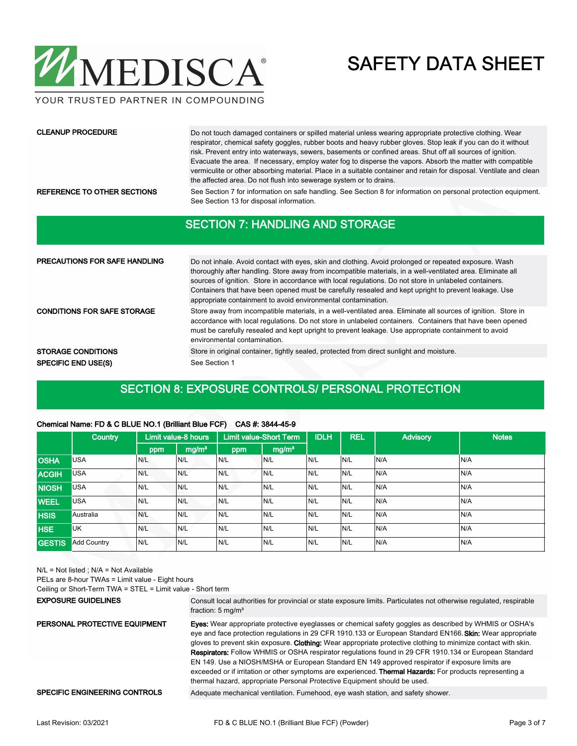

YOUR TRUSTED PARTNER IN COMPOUNDING

#### CLEANUP PROCEDURE

Do not touch damaged containers or spilled material unless wearing appropriate protective clothing. Wear respirator, chemical safety goggles, rubber boots and heavy rubber gloves. Stop leak if you can do it without risk. Prevent entry into waterways, sewers, basements or confined areas. Shut off all sources of ignition. Evacuate the area. If necessary, employ water fog to disperse the vapors. Absorb the matter with compatible vermiculite or other absorbing material. Place in a suitable container and retain for disposal. Ventilate and clean the affected area. Do not flush into sewerage system or to drains.

REFERENCE TO OTHER SECTIONS See Section 7 for information on safe handling. See Section 8 for information on personal protection equipment. See Section 13 for disposal information.

#### SECTION 7: HANDLING AND STORAGE

| <b>PRECAUTIONS FOR SAFE HANDLING</b> | Do not inhale. Avoid contact with eyes, skin and clothing. Avoid prolonged or repeated exposure. Wash<br>thoroughly after handling. Store away from incompatible materials, in a well-ventilated area. Eliminate all<br>sources of ignition. Store in accordance with local regulations. Do not store in unlabeled containers.<br>Containers that have been opened must be carefully resealed and kept upright to prevent leakage. Use<br>appropriate containment to avoid environmental contamination. |  |  |  |  |
|--------------------------------------|---------------------------------------------------------------------------------------------------------------------------------------------------------------------------------------------------------------------------------------------------------------------------------------------------------------------------------------------------------------------------------------------------------------------------------------------------------------------------------------------------------|--|--|--|--|
| <b>CONDITIONS FOR SAFE STORAGE</b>   | Store away from incompatible materials, in a well-ventilated area. Eliminate all sources of ignition. Store in<br>accordance with local regulations. Do not store in unlabeled containers. Containers that have been opened<br>must be carefully resealed and kept upright to prevent leakage. Use appropriate containment to avoid<br>environmental contamination.                                                                                                                                     |  |  |  |  |
| <b>STORAGE CONDITIONS</b>            | Store in original container, tightly sealed, protected from direct sunlight and moisture.                                                                                                                                                                                                                                                                                                                                                                                                               |  |  |  |  |
| <b>SPECIFIC END USE(S)</b>           | See Section 1                                                                                                                                                                                                                                                                                                                                                                                                                                                                                           |  |  |  |  |

#### SECTION 8: EXPOSURE CONTROLS/ PERSONAL PROTECTION

#### Chemical Name: FD & C BLUE NO.1 (Brilliant Blue FCF) CAS #: 3844-45-9

|               | <b>Country</b>     |     | Limit value-8 hours |     | <b>Limit value-Short Term</b> | <b>IDLH</b> | <b>REL</b> | <b>Advisory</b> | <b>Notes</b> |
|---------------|--------------------|-----|---------------------|-----|-------------------------------|-------------|------------|-----------------|--------------|
|               |                    | ppm | mg/m <sup>3</sup>   | ppm | mg/m <sup>3</sup>             |             |            |                 |              |
| <b>OSHA</b>   | <b>USA</b>         | N/L | N/L                 | N/L | N/L                           | IN/L        | N/L        | N/A             | N/A          |
| <b>ACGIH</b>  | <b>USA</b>         | N/L | N/L                 | N/L | N/L                           | IN/L        | N/L        | N/A             | N/A          |
| <b>NIOSH</b>  | <b>USA</b>         | N/L | N/L                 | N/L | N/L                           | N/L         | N/L        | N/A             | N/A          |
| <b>WEEL</b>   | <b>USA</b>         | N/L | N/L                 | N/L | N/L                           | IN/L        | N/L        | N/A             | N/A          |
| <b>HSIS</b>   | Australia          | N/L | N/L                 | N/L | N/L                           | N/L         | N/L        | N/A             | N/A          |
| <b>HSE</b>    | <b>UK</b>          | N/L | N/L                 | N/L | N/L                           | N/L         | N/L        | N/A             | N/A          |
| <b>GESTIS</b> | <b>Add Country</b> | N/L | N/L                 | N/L | N/L                           | IN/L        | N/L        | N/A             | N/A          |

N/L = Not listed ; N/A = Not Available

PELs are 8-hour TWAs = Limit value - Eight hours

Ceiling or Short-Term TWA = STEL = Limit value - Short term

#### EXPOSURE GUIDELINES

Consult local authorities for provincial or state exposure limits. Particulates not otherwise regulated, respirable fraction: 5 mg/m<sup>3</sup>

Eyes: Wear appropriate protective eyeglasses or chemical safety goggles as described by WHMIS or OSHA's eye and face protection regulations in 29 CFR 1910.133 or European Standard EN166. Skin: Wear appropriate gloves to prevent skin exposure. Clothing: Wear appropriate protective clothing to minimize contact with skin. Respirators: Follow WHMIS or OSHA respirator regulations found in 29 CFR 1910.134 or European Standard EN 149. Use a NIOSH/MSHA or European Standard EN 149 approved respirator if exposure limits are exceeded or if irritation or other symptoms are experienced. Thermal Hazards: For products representing a thermal hazard, appropriate Personal Protective Equipment should be used. PERSONAL PROTECTIVE EQUIPMENT SPECIFIC ENGINEERING CONTROLS Adequate mechanical ventilation. Fumehood, eye wash station, and safety shower.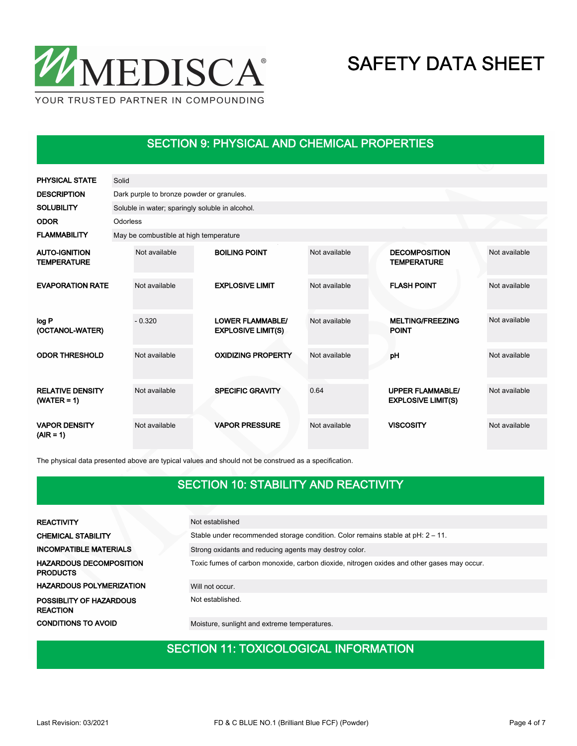

### SECTION 9: PHYSICAL AND CHEMICAL PROPERTIES

| <b>PHYSICAL STATE</b>                      | Solid |                                                 |  |                                                      |               |  |                                                      |               |  |  |  |  |
|--------------------------------------------|-------|-------------------------------------------------|--|------------------------------------------------------|---------------|--|------------------------------------------------------|---------------|--|--|--|--|
| <b>DESCRIPTION</b>                         |       | Dark purple to bronze powder or granules.       |  |                                                      |               |  |                                                      |               |  |  |  |  |
| <b>SOLUBILITY</b>                          |       | Soluble in water; sparingly soluble in alcohol. |  |                                                      |               |  |                                                      |               |  |  |  |  |
| <b>ODOR</b>                                |       | Odorless                                        |  |                                                      |               |  |                                                      |               |  |  |  |  |
| <b>FLAMMABILITY</b>                        |       | May be combustible at high temperature          |  |                                                      |               |  |                                                      |               |  |  |  |  |
| <b>AUTO-IGNITION</b><br><b>TEMPERATURE</b> |       | Not available                                   |  | <b>BOILING POINT</b>                                 | Not available |  | <b>DECOMPOSITION</b><br><b>TEMPERATURE</b>           | Not available |  |  |  |  |
| <b>EVAPORATION RATE</b>                    |       | Not available                                   |  | <b>EXPLOSIVE LIMIT</b>                               | Not available |  | <b>FLASH POINT</b>                                   | Not available |  |  |  |  |
| log P<br>(OCTANOL-WATER)                   |       | $-0.320$                                        |  | <b>LOWER FLAMMABLE/</b><br><b>EXPLOSIVE LIMIT(S)</b> | Not available |  | <b>MELTING/FREEZING</b><br><b>POINT</b>              | Not available |  |  |  |  |
| <b>ODOR THRESHOLD</b>                      |       | Not available                                   |  | <b>OXIDIZING PROPERTY</b>                            | Not available |  | pH                                                   | Not available |  |  |  |  |
| <b>RELATIVE DENSITY</b><br>$(WATER = 1)$   |       | Not available                                   |  | <b>SPECIFIC GRAVITY</b>                              | 0.64          |  | <b>UPPER FLAMMABLE/</b><br><b>EXPLOSIVE LIMIT(S)</b> | Not available |  |  |  |  |
| <b>VAPOR DENSITY</b><br>$(AIR = 1)$        |       | Not available                                   |  | <b>VAPOR PRESSURE</b>                                | Not available |  | <b>VISCOSITY</b>                                     | Not available |  |  |  |  |

The physical data presented above are typical values and should not be construed as a specification.

### SECTION 10: STABILITY AND REACTIVITY

| <b>REACTIVITY</b>                                 | Not established                                                                            |
|---------------------------------------------------|--------------------------------------------------------------------------------------------|
| <b>CHEMICAL STABILITY</b>                         | Stable under recommended storage condition. Color remains stable at pH: 2 - 11.            |
| <b>INCOMPATIBLE MATERIALS</b>                     | Strong oxidants and reducing agents may destroy color.                                     |
| <b>HAZARDOUS DECOMPOSITION</b><br><b>PRODUCTS</b> | Toxic fumes of carbon monoxide, carbon dioxide, nitrogen oxides and other gases may occur. |
| <b>HAZARDOUS POLYMERIZATION</b>                   | Will not occur.                                                                            |
| POSSIBLITY OF HAZARDOUS<br><b>REACTION</b>        | Not established.                                                                           |
| <b>CONDITIONS TO AVOID</b>                        | Moisture, sunlight and extreme temperatures.                                               |

### SECTION 11: TOXICOLOGICAL INFORMATION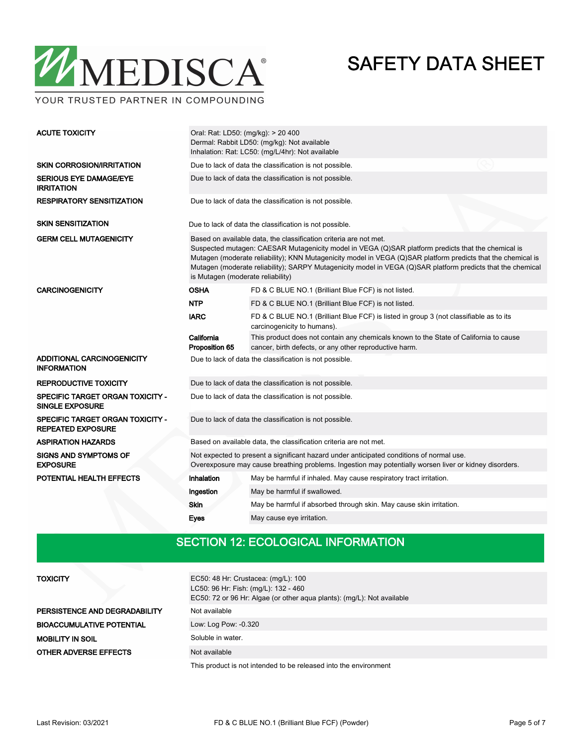

YOUR TRUSTED PARTNER IN COMPOUNDING

| <b>ACUTE TOXICITY</b>                                               | Oral: Rat: LD50: (mg/kg): > 20 400<br>Dermal: Rabbit LD50: (mg/kg): Not available<br>Inhalation: Rat: LC50: (mg/L/4hr): Not available                                                                                                                                                                                                                                                                                                       |                                                                                                                                                 |  |  |  |  |  |
|---------------------------------------------------------------------|---------------------------------------------------------------------------------------------------------------------------------------------------------------------------------------------------------------------------------------------------------------------------------------------------------------------------------------------------------------------------------------------------------------------------------------------|-------------------------------------------------------------------------------------------------------------------------------------------------|--|--|--|--|--|
| <b>SKIN CORROSION/IRRITATION</b>                                    | Due to lack of data the classification is not possible.                                                                                                                                                                                                                                                                                                                                                                                     |                                                                                                                                                 |  |  |  |  |  |
| <b>SERIOUS EYE DAMAGE/EYE</b><br><b>IRRITATION</b>                  | Due to lack of data the classification is not possible.                                                                                                                                                                                                                                                                                                                                                                                     |                                                                                                                                                 |  |  |  |  |  |
| <b>RESPIRATORY SENSITIZATION</b>                                    | Due to lack of data the classification is not possible.                                                                                                                                                                                                                                                                                                                                                                                     |                                                                                                                                                 |  |  |  |  |  |
| <b>SKIN SENSITIZATION</b>                                           |                                                                                                                                                                                                                                                                                                                                                                                                                                             | Due to lack of data the classification is not possible.                                                                                         |  |  |  |  |  |
| <b>GERM CELL MUTAGENICITY</b>                                       | Based on available data, the classification criteria are not met.<br>Suspected mutagen: CAESAR Mutagenicity model in VEGA (Q)SAR platform predicts that the chemical is<br>Mutagen (moderate reliability); KNN Mutagenicity model in VEGA (Q)SAR platform predicts that the chemical is<br>Mutagen (moderate reliability); SARPY Mutagenicity model in VEGA (Q)SAR platform predicts that the chemical<br>is Mutagen (moderate reliability) |                                                                                                                                                 |  |  |  |  |  |
| <b>CARCINOGENICITY</b>                                              | <b>OSHA</b>                                                                                                                                                                                                                                                                                                                                                                                                                                 | FD & C BLUE NO.1 (Brilliant Blue FCF) is not listed.                                                                                            |  |  |  |  |  |
|                                                                     | <b>NTP</b>                                                                                                                                                                                                                                                                                                                                                                                                                                  | FD & C BLUE NO.1 (Brilliant Blue FCF) is not listed.                                                                                            |  |  |  |  |  |
|                                                                     | <b>IARC</b>                                                                                                                                                                                                                                                                                                                                                                                                                                 | FD & C BLUE NO.1 (Brilliant Blue FCF) is listed in group 3 (not classifiable as to its<br>carcinogenicity to humans).                           |  |  |  |  |  |
|                                                                     | California<br>Proposition 65                                                                                                                                                                                                                                                                                                                                                                                                                | This product does not contain any chemicals known to the State of California to cause<br>cancer, birth defects, or any other reproductive harm. |  |  |  |  |  |
| ADDITIONAL CARCINOGENICITY<br><b>INFORMATION</b>                    | Due to lack of data the classification is not possible.                                                                                                                                                                                                                                                                                                                                                                                     |                                                                                                                                                 |  |  |  |  |  |
| <b>REPRODUCTIVE TOXICITY</b>                                        | Due to lack of data the classification is not possible.                                                                                                                                                                                                                                                                                                                                                                                     |                                                                                                                                                 |  |  |  |  |  |
| <b>SPECIFIC TARGET ORGAN TOXICITY -</b><br><b>SINGLE EXPOSURE</b>   | Due to lack of data the classification is not possible.                                                                                                                                                                                                                                                                                                                                                                                     |                                                                                                                                                 |  |  |  |  |  |
| <b>SPECIFIC TARGET ORGAN TOXICITY -</b><br><b>REPEATED EXPOSURE</b> | Due to lack of data the classification is not possible.                                                                                                                                                                                                                                                                                                                                                                                     |                                                                                                                                                 |  |  |  |  |  |
| <b>ASPIRATION HAZARDS</b>                                           | Based on available data, the classification criteria are not met.                                                                                                                                                                                                                                                                                                                                                                           |                                                                                                                                                 |  |  |  |  |  |
| <b>SIGNS AND SYMPTOMS OF</b><br><b>EXPOSURE</b>                     | Not expected to present a significant hazard under anticipated conditions of normal use.<br>Overexposure may cause breathing problems. Ingestion may potentially worsen liver or kidney disorders.                                                                                                                                                                                                                                          |                                                                                                                                                 |  |  |  |  |  |
| POTENTIAL HEALTH EFFECTS                                            | Inhalation                                                                                                                                                                                                                                                                                                                                                                                                                                  | May be harmful if inhaled. May cause respiratory tract irritation.                                                                              |  |  |  |  |  |
|                                                                     | Ingestion                                                                                                                                                                                                                                                                                                                                                                                                                                   | May be harmful if swallowed.                                                                                                                    |  |  |  |  |  |
|                                                                     | <b>Skin</b>                                                                                                                                                                                                                                                                                                                                                                                                                                 | May be harmful if absorbed through skin. May cause skin irritation.                                                                             |  |  |  |  |  |
|                                                                     | Eyes                                                                                                                                                                                                                                                                                                                                                                                                                                        | May cause eye irritation.                                                                                                                       |  |  |  |  |  |

### SECTION 12: ECOLOGICAL INFORMATION

| <b>TOXICITY</b>                  | EC50: 48 Hr: Crustacea: (mg/L): 100<br>LC50: 96 Hr: Fish: (mg/L): 132 - 460<br>EC50: 72 or 96 Hr: Algae (or other aqua plants): (mg/L): Not available |  |  |  |  |  |
|----------------------------------|-------------------------------------------------------------------------------------------------------------------------------------------------------|--|--|--|--|--|
| PERSISTENCE AND DEGRADABILITY    | Not available                                                                                                                                         |  |  |  |  |  |
| <b>BIOACCUMULATIVE POTENTIAL</b> | Low: Log Pow: -0.320                                                                                                                                  |  |  |  |  |  |
| MOBILITY IN SOIL                 | Soluble in water.                                                                                                                                     |  |  |  |  |  |
| <b>OTHER ADVERSE EFFECTS</b>     | Not available                                                                                                                                         |  |  |  |  |  |
|                                  | This product is not intended to be released into the environment                                                                                      |  |  |  |  |  |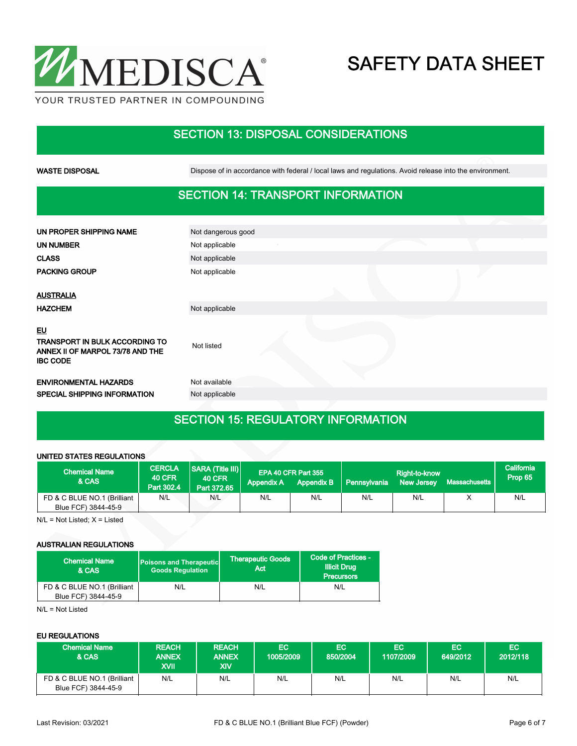

### SECTION 13: DISPOSAL CONSIDERATIONS

WASTE DISPOSAL **Dispose of in accordance with federal / local laws and regulations**. Avoid release into the environment.

### SECTION 14: TRANSPORT INFORMATION

| UN PROPER SHIPPING NAME                                                                                   | Not dangerous good |  |
|-----------------------------------------------------------------------------------------------------------|--------------------|--|
| <b>UN NUMBER</b>                                                                                          | Not applicable     |  |
| <b>CLASS</b>                                                                                              | Not applicable     |  |
| <b>PACKING GROUP</b>                                                                                      | Not applicable     |  |
|                                                                                                           |                    |  |
| <b>AUSTRALIA</b>                                                                                          |                    |  |
| <b>HAZCHEM</b>                                                                                            | Not applicable     |  |
| <u>EU</u><br><b>TRANSPORT IN BULK ACCORDING TO</b><br>ANNEX II OF MARPOL 73/78 AND THE<br><b>IBC CODE</b> | Not listed         |  |
| <b>ENVIRONMENTAL HAZARDS</b>                                                                              | Not available      |  |
| SPECIAL SHIPPING INFORMATION                                                                              | Not applicable     |  |
|                                                                                                           |                    |  |

# SECTION 15: REGULATORY INFORMATION

#### UNITED STATES REGULATIONS

| <b>Chemical Name</b><br>& CAS                      | <b>CERCLA</b><br><b>40 CFR</b><br>Part 302.4 | <b>SARA (Title III)</b><br><b>40 CFR</b><br>Part 372.65 | <b>Appendix A</b> | EPA 40 CFR Part 355<br><b>Appendix B</b> | Pennsylvania | Right-to-know<br><b>New Jersey</b> | Massachusetts | California<br>Prop 65 |
|----------------------------------------------------|----------------------------------------------|---------------------------------------------------------|-------------------|------------------------------------------|--------------|------------------------------------|---------------|-----------------------|
| FD & C BLUE NO.1 (Brilliant<br>Blue FCF) 3844-45-9 | N/L                                          | N/L                                                     | N/L               | N/L                                      | N/L          | N/L                                |               | N/L                   |

 $N/L = Not$  Listed;  $X =$  Listed

#### AUSTRALIAN REGULATIONS

| ، Chemical Name ا<br>& CAS                         | <b>Poisons and Therapeutic</b><br><b>Goods Requlation</b> | <b>Therapeutic Goods</b><br>Act | Code of Practices -<br><b>Illicit Drug</b><br><b>Precursors</b> |  |
|----------------------------------------------------|-----------------------------------------------------------|---------------------------------|-----------------------------------------------------------------|--|
| FD & C BLUE NO.1 (Brilliant<br>Blue FCF) 3844-45-9 | N/L                                                       | N/L                             | N/L                                                             |  |

N/L = Not Listed

#### EU REGULATIONS

| <b>Chemical Name</b><br>& CAS                      | <b>REACH</b><br><b>ANNEX</b><br>XVII | <b>REACH</b><br><b>ANNEX</b><br>XIV | <b>EC</b><br>1005/2009 | EC.<br>850/2004 | EC.<br>1107/2009 | EC.<br>649/2012 | EC.<br>2012/118 |
|----------------------------------------------------|--------------------------------------|-------------------------------------|------------------------|-----------------|------------------|-----------------|-----------------|
| FD & C BLUE NO.1 (Brilliant<br>Blue FCF) 3844-45-9 | N/L                                  | N/L                                 | N/L                    | N/L             | N/L              | N/L             | N/L             |